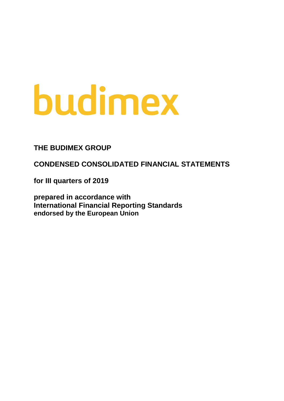# budimex

### **THE BUDIMEX GROUP**

**CONDENSED CONSOLIDATED FINANCIAL STATEMENTS** 

**for III quarters of 2019**

**prepared in accordance with International Financial Reporting Standards endorsed by the European Union**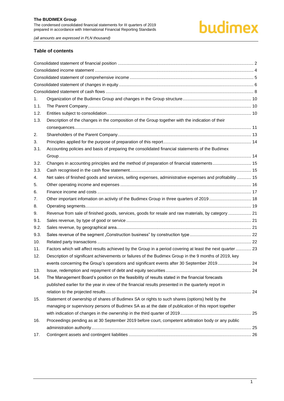## budimex

*(all amounts are expressed in PLN thousand)*

#### **Table of contents**

| 1.   |                                                                                                           |  |
|------|-----------------------------------------------------------------------------------------------------------|--|
| 1.1. |                                                                                                           |  |
| 1.2. |                                                                                                           |  |
| 1.3. | Description of the changes in the composition of the Group together with the indication of their          |  |
|      |                                                                                                           |  |
| 2.   |                                                                                                           |  |
| 3.   |                                                                                                           |  |
| 3.1. | Accounting policies and basis of preparing the consolidated financial statements of the Budimex           |  |
|      |                                                                                                           |  |
| 3.2. | Changes in accounting principles and the method of preparation of financial statements 15                 |  |
| 3.3. |                                                                                                           |  |
| 4.   | Net sales of finished goods and services, selling expenses, administrative expenses and profitability  15 |  |
| 5.   |                                                                                                           |  |
| 6.   |                                                                                                           |  |
| 7.   | Other important infomation on activity of the Budimex Group in three quarters of 2019 18                  |  |
| 8.   |                                                                                                           |  |
| 9.   | Revenue from sale of finished goods, services, goods for resale and raw materials, by category  21        |  |
| 9.1. |                                                                                                           |  |
| 9.2. |                                                                                                           |  |
| 9.3. |                                                                                                           |  |
| 10.  |                                                                                                           |  |
| 11.  | Factors which will affect results achieved by the Group in a period covering at least the next quarter 23 |  |
| 12.  | Description of significant achievements or failures of the Budimex Group in the 9 months of 2019, key     |  |
|      | events concerning the Group's operations and significant events after 30 September 2019 24                |  |
| 13.  |                                                                                                           |  |
| 14.  | The Management Board's position on the feasibility of results stated in the financial forecasts           |  |
|      | published earlier for the year in view of the financial results presented in the quarterly report in      |  |
|      |                                                                                                           |  |
| 15.  | Statement of ownership of shares of Budimex SA or rights to such shares (options) held by the             |  |
|      | managing or supervisory persons of Budimex SA as at the date of publication of this report together       |  |
|      |                                                                                                           |  |
| 16.  | Proceedings pending as at 30 September 2019 before court, competent arbitration body or any public        |  |
|      |                                                                                                           |  |
| 17.  |                                                                                                           |  |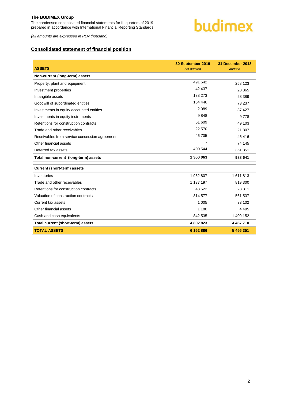

*(all amounts are expressed in PLN thousand)*

#### <span id="page-2-0"></span>**Consolidated statement of financial position**

| <b>ASSETS</b>                                 | 30 September 2019<br>not audited | 31 December 2018<br>audited |
|-----------------------------------------------|----------------------------------|-----------------------------|
| Non-current (long-term) assets                |                                  |                             |
| Property, plant and equipment                 | 491 542                          | 258 123                     |
| Investment properties                         | 42 437                           | 28 365                      |
| Intangible assets                             | 138 273                          | 28 3 89                     |
| Goodwill of subordinated entities             | 154 446                          | 73 237                      |
| Investments in equity accounted entities      | 2 0 8 9                          | 37 427                      |
| Investments in equity instruments             | 9848                             | 9778                        |
| Retentions for construction contracts         | 51 609                           | 49 103                      |
| Trade and other receivables                   | 22 570                           | 21 807                      |
| Receivables from service concession agreement | 46 705                           | 46 416                      |
| Other financial assets                        |                                  | 74 145                      |
| Deferred tax assets                           | 400 544                          | 361 851                     |
| Total non-current (long-term) assets          | 1 360 063                        | 988 641                     |
| <b>Current (short-term) assets</b>            |                                  |                             |
| Inventories                                   | 1962807                          | 1611813                     |
| Trade and other receivables                   | 1 137 197                        | 819 300                     |
| Retentions for construction contracts         | 43 522                           | 28 311                      |
| Valuation of construction contracts           | 814 577                          | 561 537                     |
| Current tax assets                            | 1 0 0 5                          | 33 102                      |
| Other financial assets                        | 1 1 8 0                          | 4 4 9 5                     |
| Cash and cash equivalents                     | 842 535                          | 1 409 152                   |
| Total current (short-term) assets             | 4 802 823                        | 4 4 6 7 7 1 0               |
| <b>TOTAL ASSETS</b>                           | 6 162 886                        | 5 456 351                   |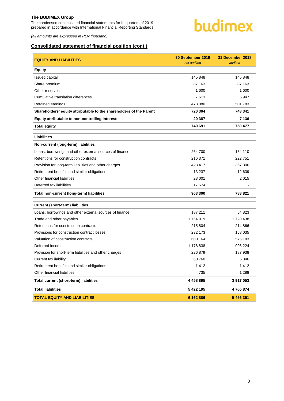The condensed consolidated financial statements for III quarters of 2019 prepared in accordance with International Financial Reporting Standards



*(all amounts are expressed in PLN thousand)*

#### **Consolidated statement of financial position (cont.)**

| <b>EQUITY AND LIABILITIES</b>                                       | 30 September 2019<br>not audited | 31 December 2018<br>audited |
|---------------------------------------------------------------------|----------------------------------|-----------------------------|
| <b>Equity</b>                                                       |                                  |                             |
| Issued capital                                                      | 145 848                          | 145 848                     |
| Share premium                                                       | 87 163                           | 87 163                      |
| Other reserves                                                      | 1 600                            | 1 600                       |
| Cumulative translation differences                                  | 7613                             | 6947                        |
| Retained earnings                                                   | 478 080                          | 501 783                     |
| Shareholders' equity attributable to the shareholders of the Parent | 720 304                          | 743 341                     |
| Equity attributable to non-controlling interests                    | 20 387                           | 7 136                       |
| <b>Total equity</b>                                                 | 740 691                          | 750 477                     |
| <b>Liabilities</b>                                                  |                                  |                             |
| Non-current (long-term) liabilities                                 |                                  |                             |
| Loans, borrowings and other external sources of finance             | 264 700                          | 184 110                     |
| Retentions for construction contracts                               | 216 371                          | 222 751                     |
| Provision for long-term liabilities and other charges               | 423 417                          | 367 306                     |
| Retirement benefits and similar obligations                         | 13 237                           | 12 639                      |
| Other financial liabilities                                         | 28 001                           | 2015                        |
| Deferred tax liabilities                                            | 17 574                           |                             |
| Total non-current (long-term) liabilities                           | 963 300                          | 788 821                     |
| <b>Current (short-term) liabilities</b>                             |                                  |                             |
| Loans, borrowings and other external sources of finance             | 187 211                          | 54 823                      |
| Trade and other payables                                            | 1754919                          | 1720438                     |
| Retentions for construction contracts                               | 215 804                          | 214 866                     |
| Provisions for construction contract losses                         | 232 173                          | 158 035                     |
| Valuation of construction contracts                                 | 600 164                          | 575 183                     |
| Deferred income                                                     | 1 178 838                        | 996 224                     |
| Provision for short-term liabilities and other charges              | 226 879                          | 187 938                     |
| Current tax liability                                               | 60 760                           | 6846                        |
| Retirement benefits and similar obligations                         | 1412                             | 1412                        |
| Other financial liabilities                                         | 735                              | 1 2 8 8                     |
| Total current (short-term) liabilities                              | 4 4 5 8 8 9 5                    | 3 917 053                   |
| <b>Total liabilities</b>                                            | 5 422 195                        | 4705874                     |
| <b>TOTAL EQUITY AND LIABILITIES</b>                                 | 6 162 886                        | 5 456 351                   |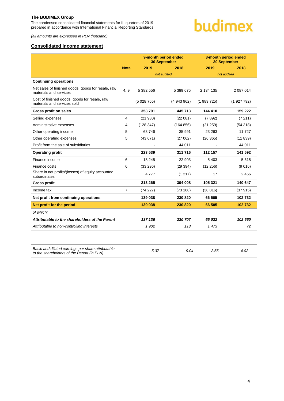The condensed consolidated financial statements for III quarters of 2019 prepared in accordance with International Financial Reporting Standards



*(all amounts are expressed in PLN thousand)*

#### <span id="page-4-0"></span>**Consolidated income statement**

|                                                                              |             | 9-month period ended<br><b>30 September</b> |             |           | 3-month period ended<br><b>30 September</b> |
|------------------------------------------------------------------------------|-------------|---------------------------------------------|-------------|-----------|---------------------------------------------|
|                                                                              | <b>Note</b> | 2019                                        | 2018        | 2019      | 2018                                        |
|                                                                              |             |                                             | not audited |           | not audited                                 |
| <b>Continuing operations</b>                                                 |             |                                             |             |           |                                             |
| Net sales of finished goods, goods for resale, raw<br>materials and services | 4, 9        | 5 382 556                                   | 5 389 675   | 2 134 135 | 2 087 014                                   |
| Cost of finished goods, goods for resale, raw<br>materials and services sold |             | (5028765)                                   | (4943962)   | (1989725) | (1927792)                                   |
| <b>Gross profit on sales</b>                                                 |             | 353 791                                     | 445 713     | 144 410   | 159 222                                     |
| Selling expenses                                                             | 4           | (21980)                                     | (22 081)    | (7892)    | (7211)                                      |
| Administrative expenses                                                      | 4           | (128347)                                    | (164 856)   | (21 259)  | (54318)                                     |
| Other operating income                                                       | 5           | 63746                                       | 35 991      | 23 263    | 11 727                                      |
| Other operating expenses                                                     | 5           | (43671)                                     | (27062)     | (26 365)  | (11839)                                     |
| Profit from the sale of subsidiaries                                         |             |                                             | 44 011      |           | 44 011                                      |
| <b>Operating profit</b>                                                      |             | 223 539                                     | 311 716     | 112 157   | 141 592                                     |
| Finance income                                                               | 6           | 18 245                                      | 22 903      | 5 4 0 3   | 5615                                        |
| Finance costs                                                                | 6           | (33 296)                                    | (29 394)    | (12 256)  | (9016)                                      |
| Share in net profits/(losses) of equity accounted<br>subordinates            |             | 4777                                        | (1217)      | 17        | 2 4 5 6                                     |
| <b>Gross profit</b>                                                          |             | 213 265                                     | 304 008     | 105 321   | 140 647                                     |
| Income tax                                                                   | 7           | (74227)                                     | (73188)     | (38816)   | (37915)                                     |
| Net profit from continuing operations                                        |             | 139 038                                     | 230 820     | 66 505    | 102732                                      |
| Net profit for the period                                                    |             | 139 038                                     | 230 820     | 66 505    | 102 732                                     |
| of which:                                                                    |             |                                             |             |           |                                             |
| Attributable to the shareholders of the Parent                               |             | 137 136                                     | 230 707     | 65 032    | 102 660                                     |
| Attributable to non-controlling interests                                    |             | 1 902                                       | 113         | 1 473     | 72                                          |
|                                                                              |             |                                             |             |           |                                             |

| Basic and diluted earnings per share attributable<br>to the shareholders of the Parent (in PLN) | 5.37 | 9.04 | 2.55 | 4.02 |
|-------------------------------------------------------------------------------------------------|------|------|------|------|
|                                                                                                 |      |      |      |      |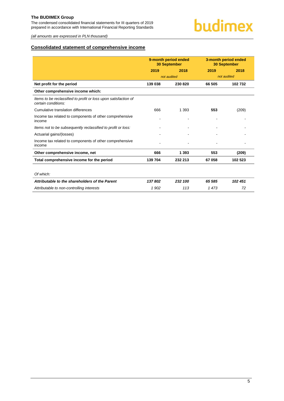The condensed consolidated financial statements for III quarters of 2019 prepared in accordance with International Financial Reporting Standards

*(all amounts are expressed in PLN thousand)*

#### <span id="page-5-0"></span>**Consolidated statement of comprehensive income**

| 9-month period ended<br><b>30 September</b> |         |             | 3-month period ended<br><b>30 September</b> |
|---------------------------------------------|---------|-------------|---------------------------------------------|
| 2019                                        | 2018    | 2019        | 2018                                        |
|                                             |         |             | not audited                                 |
| 139 038                                     | 230 820 | 66 505      | 102 732                                     |
|                                             |         |             |                                             |
|                                             |         |             |                                             |
| 666                                         | 1 3 9 3 | 553         | (209)                                       |
|                                             |         |             |                                             |
|                                             |         |             |                                             |
|                                             |         |             |                                             |
|                                             |         |             |                                             |
| 666                                         | 1 3 9 3 | 553         | (209)                                       |
| 139 704                                     | 232 213 | 67 058      | 102 523                                     |
|                                             |         |             |                                             |
|                                             |         |             |                                             |
| 137802                                      | 232 100 | 65 585      | 102 451                                     |
| 1 902                                       | 113     | 1473        | 72                                          |
|                                             |         | not audited |                                             |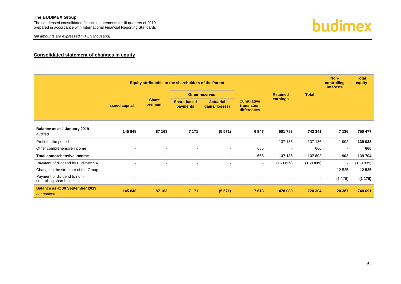*(all amounts are expressed in PLN thousand)*



#### **Consolidated statement of changes in equity**

<span id="page-6-0"></span>

|                                                        |                       |                         | Equity attributable to the shareholders of the Parent |                                    |                                                 |                 |                | Non-<br>controlling<br><b>interests</b> | <b>Total</b><br>equity |
|--------------------------------------------------------|-----------------------|-------------------------|-------------------------------------------------------|------------------------------------|-------------------------------------------------|-----------------|----------------|-----------------------------------------|------------------------|
|                                                        |                       |                         |                                                       | <b>Other reserves</b>              |                                                 | <b>Retained</b> | <b>Total</b>   |                                         |                        |
|                                                        | <b>Issued capital</b> | <b>Share</b><br>premium | <b>Share-based</b><br>payments                        | <b>Actuarial</b><br>gains/(losses) | <b>Cumulative</b><br>translation<br>differences | earnings        |                |                                         |                        |
| Balance as at 1 January 2019<br>audited                | 145 848               | 87 163                  | 7 1 7 1                                               | (5571)                             | 6947                                            | 501 783         | 743 341        | 7 1 3 6                                 | 750 477                |
| Profit for the period                                  | $\blacksquare$        |                         |                                                       |                                    | $\blacksquare$                                  | 137 136         | 137 136        | 1 902                                   | 139 038                |
| Other comprehensive income                             | $\blacksquare$        | $\sim$                  |                                                       | $\blacksquare$                     | 666                                             | $\blacksquare$  | 666            | $\overline{\phantom{a}}$                | 666                    |
| Total comprehensive income                             | $\blacksquare$        | $\blacksquare$          | $\blacksquare$                                        | $\blacksquare$                     | 666                                             | 137 136         | 137 802        | 1902                                    | 139 704                |
| Payment of dividend by Budimex SA                      | $\blacksquare$        | $\blacksquare$          | $\blacksquare$                                        | $\blacksquare$                     | $\blacksquare$                                  | (160 839)       | (160 839)      | $\blacksquare$                          | (160 839)              |
| Change in the structure of the Group                   | $\blacksquare$        | $\blacksquare$          | $\blacksquare$                                        | $\blacksquare$                     |                                                 |                 | $\blacksquare$ | 12 5 25                                 | 12 5 25                |
| Payment of dividend to non-<br>controlling shareholder | $\blacksquare$        |                         |                                                       |                                    |                                                 |                 | ۰.             | (1176)                                  | (1176)                 |
| <b>Balance as at 30 September 2019</b><br>not audited  | 145 848               | 87 163                  | 7 1 7 1                                               | (5571)                             | 7613                                            | 478 080         | 720 304        | 20 387                                  | 740 691                |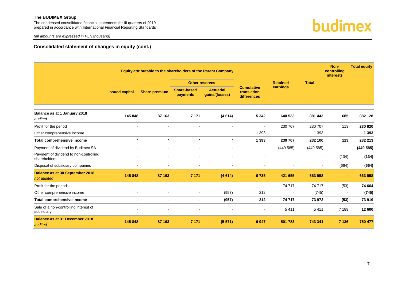The condensed consolidated financial statements for III quarters of 2019 prepared in accordance with International Financial Reporting Standards budimex

*(all amounts are expressed in PLN thousand)*

#### **Consolidated statement of changes in equity (cont.)**

|                                                        | Equity attributable to the shareholders of the Parent Company |                          |                                |                                    |                                                 |                 |                          | Non-<br>controlling<br><b>interests</b> | <b>Total equity</b> |
|--------------------------------------------------------|---------------------------------------------------------------|--------------------------|--------------------------------|------------------------------------|-------------------------------------------------|-----------------|--------------------------|-----------------------------------------|---------------------|
|                                                        |                                                               |                          |                                | <b>Other reserves</b>              |                                                 | <b>Retained</b> | <b>Total</b>             |                                         |                     |
|                                                        | <b>Issued capital</b>                                         | <b>Share premium</b>     | <b>Share-based</b><br>payments | <b>Actuarial</b><br>gains/(losses) | <b>Cumulative</b><br>translation<br>differences | earnings        |                          |                                         |                     |
| Balance as at 1 January 2018<br>audited                | 145 848                                                       | 87 163                   | 7 1 7 1                        | (4614)                             | 5 3 4 2                                         | 640 533         | 881 443                  | 685                                     | 882 128             |
| Profit for the period                                  | $\sim$                                                        |                          | $\blacksquare$                 |                                    |                                                 | 230 707         | 230 707                  | 113                                     | 230 820             |
| Other comprehensive income                             |                                                               |                          | $\overline{\phantom{a}}$       |                                    | 1 3 9 3                                         | $\blacksquare$  | 1 3 9 3                  | $\blacksquare$                          | 1 3 9 3             |
| Total comprehensive income                             | $\blacksquare$                                                | $\overline{\phantom{0}}$ | $\blacksquare$                 | $\blacksquare$                     | 1 3 9 3                                         | 230 707         | 232 100                  | 113                                     | 232 213             |
| Payment of dividend by Budimex SA                      |                                                               |                          | $\blacksquare$                 |                                    | $\blacksquare$                                  | (449585)        | (449585)                 | $\blacksquare$                          | (449585)            |
| Payment of dividend to non-controlling<br>shareholders |                                                               |                          | $\blacksquare$                 | $\blacksquare$                     |                                                 |                 | $\overline{\phantom{a}}$ | (134)                                   | (134)               |
| Disposal of subsidiary companies                       |                                                               | $\blacksquare$           | $\blacksquare$                 | $\blacksquare$                     | $\blacksquare$                                  | $\blacksquare$  | $\overline{\phantom{a}}$ | (664)                                   | (664)               |
| <b>Balance as at 30 September 2018</b><br>not audited  | 145 848                                                       | 87 163                   | 7 1 7 1                        | (4614)                             | 6735                                            | 421 655         | 663 958                  |                                         | 663 958             |
| Profit for the period                                  |                                                               |                          | $\blacksquare$                 |                                    | $\blacksquare$                                  | 74 717          | 74 717                   | (53)                                    | 74 664              |
| Other comprehensive income                             |                                                               |                          | $\overline{\phantom{a}}$       | (957)                              | 212                                             | $\blacksquare$  | (745)                    |                                         | (745)               |
| Total comprehensive income                             | $\blacksquare$                                                | $\blacksquare$           | $\blacksquare$                 | (957)                              | 212                                             | 74 717          | 73 972                   | (53)                                    | 73 919              |
| Sale of a non-controlling interest of<br>subsidiary    |                                                               |                          |                                |                                    |                                                 | 5411            | 5411                     | 7 1 8 9                                 | 12 600              |
| <b>Balance as at 31 December 2018</b><br>audited       | 145 848                                                       | 87 163                   | 7 1 7 1                        | (5571)                             | 6947                                            | 501 783         | 743 341                  | 7 1 3 6                                 | 750 477             |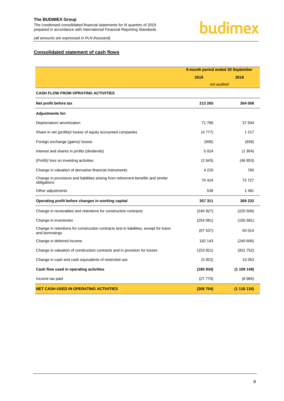### budimex

*(all amounts are expressed in PLN thousand)*

#### <span id="page-8-0"></span>**Consolidated statement of cash flows**

|                                                                                                        | 9-month period ended 30 September |             |  |
|--------------------------------------------------------------------------------------------------------|-----------------------------------|-------------|--|
|                                                                                                        | 2019                              | 2018        |  |
|                                                                                                        | not audited                       |             |  |
| <b>CASH FLOW FROM OPRATING ACTIVITIES</b>                                                              |                                   |             |  |
| Net profit before tax                                                                                  | 213 265                           | 304 008     |  |
| <b>Adjustments for:</b>                                                                                |                                   |             |  |
| Depreciation/ amortization                                                                             | 71 766                            | 37 504      |  |
| Share in net (profits)/ losses of equity accounted companies                                           | (4777)                            | 1 2 1 7     |  |
| Foreign exchange (gains)/ losses                                                                       | (506)                             | (658)       |  |
| Interest and shares in profits (dividends)                                                             | 5 0 2 4                           | (1954)      |  |
| (Profit)/ loss on investing activities                                                                 | (2643)                            | (46 853)    |  |
| Change in valuation of derivative financial instruments                                                | 4 2 2 0                           | 760         |  |
| Change in provisions and liabilities arising from retirement benefits and similar<br>obligations       | 70424                             | 73727       |  |
| Other adjustments                                                                                      | 538                               | 1481        |  |
| Operating profit before changes in working capital                                                     | 357 311                           | 369 232     |  |
| Change in receivables and retentions for construction contracts                                        | (240927)                          | (220 509)   |  |
| Change in inventories                                                                                  | (254081)                          | (150581)    |  |
| Change in retentions for construction contracts and in liabilities, except for loans<br>and borrowings | (67537)                           | 50 014      |  |
| Change in deferred income                                                                              | 182 143                           | (240606)    |  |
| Change in valuation of construction contracts and in provision for losses                              | (153921)                          | (931 752)   |  |
| Change in cash and cash equivalents of restricted use                                                  | (3922)                            | 15 0 53     |  |
| Cash flow used in operating activities                                                                 | (180934)                          | (1 109 149) |  |
| Income tax paid                                                                                        | (27 770)                          | (8985)      |  |
| <b>NET CASH USED IN OPERATING ACTIVITIES</b>                                                           | (208704)                          | (1118134)   |  |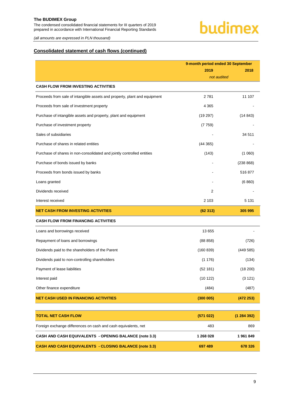*(all amounts are expressed in PLN thousand)*

#### **Consolidated statement of cash flows (continued)**

|                                                                           | 9-month period ended 30 September |           |
|---------------------------------------------------------------------------|-----------------------------------|-----------|
|                                                                           | 2019                              | 2018      |
| <b>CASH FLOW FROM INVESTING ACTIVITIES</b>                                | not audited                       |           |
|                                                                           |                                   |           |
| Proceeds from sale of intangible assets and property, plant and equipment | 2781                              | 11 107    |
| Proceeds from sale of investment property                                 | 4 3 6 5                           |           |
| Purchase of intangible assets and property, plant and equipment           | (19 297)                          | (14843)   |
| Purchase of investment property                                           | (7759)                            |           |
| Sales of subsidiaries                                                     |                                   | 34 511    |
| Purchase of shares in related entities                                    | (44365)                           |           |
| Purchase of shares in non-consolidated and jointly controlled entities    | (143)                             | (1060)    |
| Purchase of bonds issued by banks                                         |                                   | (238 868) |
| Proceeds from bonds issued by banks                                       |                                   | 516877    |
| Loans granted                                                             |                                   | (6860)    |
| Dividends received                                                        | 2                                 |           |
| Interest received                                                         | 2 1 0 3                           | 5 1 3 1   |
| <b>NET CASH FROM INVESTING ACTIVITIES</b>                                 | (62313)                           | 305 995   |
| <b>CASH FLOW FROM FINANCING ACTIVITIES</b>                                |                                   |           |
| Loans and borrowings received                                             | 13 655                            |           |
| Repayment of loans and borrowings                                         | (88 858)                          | (726)     |
| Dividends paid to the shareholders of the Parent                          | (160 839)                         | (449585)  |
| Dividends paid to non-controlling shareholders                            | (1176)                            | (134)     |
| Payment of lease liabilities                                              | (52 181)                          | (18 200)  |
| Interest paid                                                             | (10 122)                          | (3 121)   |
| Other finance expenditure                                                 | (484)                             | (487)     |
| <b>NET CASH USED IN FINANCING ACTIVITIES</b>                              | (300005)                          | (472 253) |
|                                                                           |                                   |           |
| <b>TOTAL NET CASH FLOW</b>                                                | (571022)                          | (1284392) |
| Foreign exchange differences on cash and cash equivalents, net            | 483                               | 869       |
| CASH AND CASH EQUIVALENTS - OPENING BALANCE (note 3.3)                    | 1 268 028                         | 1961849   |
| <b>CASH AND CASH EQUIVALENTS - CLOSING BALANCE (note 3.3)</b>             | 697 489                           | 678 326   |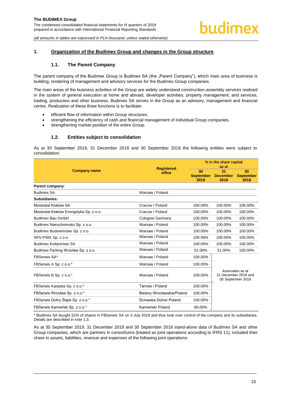#### <span id="page-10-1"></span><span id="page-10-0"></span>**1. Organization of the Budimex Group and changes in the Group structure**

#### **1.1. The Parent Company**

The parent company of the Budimex Group is Budimex SA (the "Parent Company"), which main area of business is building, rendering of management and advisory services for the Budimex Group companies.

The main areas of the business activities of the Group are widely understood construction-assembly services realized in the system of general execution at home and abroad, developer activities, property management, and services, trading, production and other business. Budimex SA serves in the Group as an advisory, management and financial centre. Realization of these three functions is to facilitate:

- efficient flow of information within Group structures,
- strengthening the efficiency of cash and financial management of individual Group companies,
- strengthening market position of the entire Group.

#### **1.2. Entities subject to consolidation**

<span id="page-10-2"></span>As at 30 September 2019, 31 December 2018 and 30 September 2018 the following entities were subject to consolidation:

|                                        | <b>Registered</b>          | % in the share capital<br>as at |                               |                                                               |  |
|----------------------------------------|----------------------------|---------------------------------|-------------------------------|---------------------------------------------------------------|--|
| <b>Company name</b>                    | office                     | 30<br><b>September</b><br>2019  | 31<br><b>December</b><br>2018 | 30<br><b>September</b><br>2018                                |  |
| Parent company:                        |                            |                                 |                               |                                                               |  |
| <b>Budimex SA</b>                      | Warsaw / Poland            |                                 |                               |                                                               |  |
| Subsidiaries:                          |                            |                                 |                               |                                                               |  |
| Mostostal Kraków SA                    | Cracow / Poland            | 100.00%                         | 100.00%                       | 100.00%                                                       |  |
| Mostostal Kraków Energetyka Sp. z o.o. | Cracow / Poland            | 100.00%                         | 100.00%                       | 100.00%                                                       |  |
| <b>Budimex Bau GmbH</b>                | Cologne/ Germany           | 100.00%                         | 100.00%                       | 100.00%                                                       |  |
| Budimex Nieruchomości Sp. z o.o.       | Warsaw / Poland            | 100.00%                         | 100.00%                       | 100.00%                                                       |  |
| Budimex Budownictwo Sp. z o.o.         | Warsaw / Poland            | 100.00%                         | 100.00%                       | 100.00%                                                       |  |
| SPV-PIM1 Sp. z o.o.                    | Warsaw / Poland            | 100.00%                         | 100.00%                       | 100.00%                                                       |  |
| Budimex Kolejnictwo SA                 | Warsaw / Poland            | 100.00%                         | 100.00%                       | 100.00%                                                       |  |
| Budimex Parking Wrocław Sp. z o.o.     | Warsaw / Poland            | 51.00%                          | 51.00%                        | 100.00%                                                       |  |
| FBSerwis SA*                           | Warsaw / Poland            | 100.00%                         |                               |                                                               |  |
| FBSerwis A Sp. z o.o.*                 | Warsaw / Poland            | 100.00%                         |                               |                                                               |  |
| FBSerwis B Sp. z o.o.*                 | Warsaw / Poland            | 100.00%                         |                               | Associates as at<br>31 December 2018 and<br>30 September 2018 |  |
| FBSerwis Karpatia Sp. z o.o.*          | Tarnów / Poland            | 100.00%                         |                               |                                                               |  |
| FBSerwis Wrocław Sp. z o.o.*           | Bielany Wrocławskie/Poland | 100.00%                         |                               |                                                               |  |
| FBSerwis Dolny Slask Sp. z o.o.*       | Ścinawka Dolna/ Poland     | 100.00%                         |                               |                                                               |  |
| FBSerwis Kamieńsk Sp. z o.o.*          | Kamieńsk/ Poland           | 80.00%                          |                               |                                                               |  |

\* Budimex SA bought 51% of shares in FBSerwis SA on 3 July 2019 and thus took over control of the company and its subsidiaries. Details are described in note 1.3.

As at 30 September 2019, 31 December 2018 and 30 September 2018 stand-alone data of Budimex SA and other Group companies, which are partners in consortiums (treated as joint operations according to IFRS 11), included their share in assets, liabilities, revenue and expenses of the following joint operations: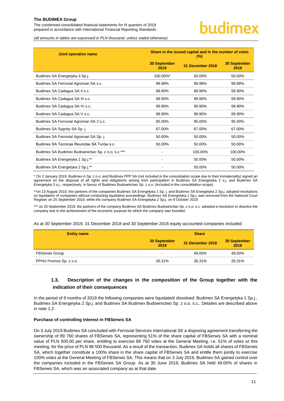The condensed consolidated financial statements for III quarters of 2019 prepared in accordance with International Financial Reporting Standards

### hudimex

*(all amounts in tables are expressed in PLN thousand, unless stated otherwise)*

| Joint operation name                              | Share in the issued capital and in the number of votes<br>$(\%)$ |                  |                             |  |  |
|---------------------------------------------------|------------------------------------------------------------------|------------------|-----------------------------|--|--|
|                                                   | <b>30 September</b><br>2019                                      | 31 December 2018 | <b>30 September</b><br>2018 |  |  |
| Budimex SA Energetyka 3 Sp.j.                     | 100.00%*                                                         | 50.00%           | 50.00%                      |  |  |
| Budimex SA Ferrovial Agroman SA s.c.              | 99.98%                                                           | 99.98%           | 99.98%                      |  |  |
| Budimex SA Cadagua SA II s.c.                     | 99.90%                                                           | 99.90%           | 99.90%                      |  |  |
| Budimex SA Cadagua SA III s.c.                    | 99.90%                                                           | 99.90%           | 99.90%                      |  |  |
| Budimex SA Cadagua SA IV s.c.                     | 99.90%                                                           | 99.90%           | 99.90%                      |  |  |
| Budimex SA Cadagua SA V s.c.                      | 99.90%                                                           | 99.90%           | 99.90%                      |  |  |
| Budimex SA Ferrovial Agroman SA 2 s.c.            | 95.00%                                                           | 95.00%           | 95.00%                      |  |  |
| Budimex SA Sygnity SA Sp. j.                      | 67.00%                                                           | 67.00%           | 67.00%                      |  |  |
| Budimex SA Ferrovial Agroman SA Sp. j.            | 50.00%                                                           | 50.00%           | 50.00%                      |  |  |
| Budimex SA Tecnicas Reunidas SA Turów s.c.        | 50.00%                                                           | 50.00%           | 50.00%                      |  |  |
| Budimex SA Budimex Budownictwo Sp. z o.o. s.c.*** |                                                                  | 100,00%          | 100,00%                     |  |  |
| Budimex SA Energetyka 1 Sp.j.**                   |                                                                  | 50.00%           | 50.00%                      |  |  |
| Budimex SA Energetyka 2 Sp.j.**                   |                                                                  | 50.00%           | 50.00%                      |  |  |

\* On 2 January 2019, Budimex A Sp. z o.o. and Budimex PPP SA (not included in the consolidation scope due to their immateriality) signed an agreement on the disposal of all rights and obligations arising from participation in Budimex SA Energetyka 2 s.j. and Budimex SA Energetyka 3 s.j., respectively, in favour of Budimex Budownictwo Sp. z o.o. (included in the consolidation scope).

\*\*on 13 August 2019, the partners of the companies Budimex SA Energetyka 1 Sp. j. and Budimex SA Energetyka 2 Sp.j. adopted resolutions on liquidation of companies without conducting liquidation proceedings. Budimex SA Energetyka 1 Sp.j. was removed from the National Court Register on 25 September 2019, while the company Budimex SA Energetyka 2 Sp.j. on 9 October 2019.

\*\*\* on 20 September 2019, the partners of the company Budimex SA Budimex Budownictwo Sp. z o.o. s.c. adopted a resolution to dissolve the company due to the achievement of the economic purpose for which the company was founded.

As at 30 September 2019, 31 December 2018 and 30 September 2018 equity accounted companies included:

| <b>Entity name</b>     | <b>Share</b>                |                  |                             |  |  |
|------------------------|-----------------------------|------------------|-----------------------------|--|--|
|                        | <b>30 September</b><br>2019 | 31 December 2018 | <b>30 September</b><br>2018 |  |  |
| <b>FBSerwis Group</b>  | $\overline{\phantom{0}}$    | 49.00%           | 49,00%                      |  |  |
| PPHU Promos Sp. z o.o. | 26.31%                      | 26,31%           | 26,31%                      |  |  |

#### <span id="page-11-0"></span>**1.3. Description of the changes in the composition of the Group together with the indication of their consequences**

In the period of 9 months of 2019 the following companies were liquidated/ dissolved: Budimex SA Energetyka 1 Sp.j., Budimex SA Energetyka 2 Sp.j. and Budimex SA Budimex Budownictwo Sp. z o.o. s.c.. Detailes are described above in note 1.2.

#### **Purchase of controlling interest in FBSerwis SA**

On 3 July 2019 Budimex SA concluded with Ferrovial Services International SE a disposing agreement transferring the ownership of 89 760 shares of FBSerwis SA, representing 51% of the share capital of FBSerwis SA with a nominal value of PLN 500.00 per share, entitling to exercise 89 760 votes at the General Meeting, i.e. 51% of votes at this meeting, for the price of PLN 98 500 thousand. As a result of the transaction, Budimex SA holds all shares of FBSerwis SA, which together constitute a 100% share in the share capital of FBSerwis SA and entitle them jointly to exercise 100% votes at the General Meeting of FBSerwis SA. This means that on 3 July 2019, Budimex SA gained control over the companies included in the FBSerwis SA Group. As at 30 June 2019, Budimex SA held 49.00% of shares in FBSerwis SA, which was an associated company as at that date.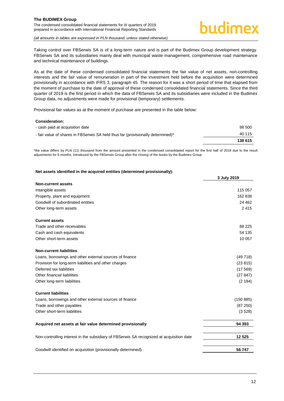The condensed consolidated financial statements for III quarters of 2019 prepared in accordance with International Financial Reporting Standards



#### *(all amounts in tables are expressed in PLN thousand, unless stated otherwise)*

Taking control over FBSerwis SA is of a long-term nature and is part of the Budimex Group development strategy. FBSerwis SA and its subsidiaries mainly deal with municipal waste management, comprehensive road maintenance and technical maintenance of buildings.

As at the date of these condensed consolidated financial statements the fair value of net assets, non-controlling interests and the fair value of remuneration in part of the investment held before the acquisition were determined provisionally in accordance with IFRS 3, paragraph 45. The reason for it was a short period of time that elapsed from the moment of purchase to the date of approval of these condensed consolidated financial statements. Since the third quarter of 2019 is the first period in which the data of FBSerwis SA and its subsidiaries were included in the Budimex Group data, no adjustments were made for provisional (temporary) settlements.

Provisional fair values as at the moment of purchase are presented in the table below:

#### **Consideration:**

| - cash paid at acquisition date                                                 | 98 500  |
|---------------------------------------------------------------------------------|---------|
| - fair value of shares in FBSerwis SA held thus far (provisionally determined)* | 40 115  |
|                                                                                 | 138 615 |

\*the value differs by PLN (11) thousand from the amount presented in the condensed consolidated report for the first half of 2019 due to the result adjustments for 6 months, introduced by the FBSerwis Group after the closing of the books by the Budimex Group

#### **Net assets identified in the acquired entities (determined provisionally):**

|                                                                                          | 3 July 2019 |
|------------------------------------------------------------------------------------------|-------------|
| <b>Non-current assets</b>                                                                |             |
| Intangible assets                                                                        | 115 057     |
| Property, plant and equipment                                                            | 162838      |
| Goodwill of subordinated entities                                                        | 24 4 62     |
| Other long-term assets                                                                   | 2415        |
| <b>Current assets</b>                                                                    |             |
| Trade and other receivables                                                              | 88 2 25     |
| Cash and cash equivalents                                                                | 54 135      |
| Other short-term assets                                                                  | 10 057      |
| <b>Non-current liabilities</b>                                                           |             |
| Loans, borrowings and other external sources of finance                                  | (49718)     |
| Provision for long-term liabilities and other charges                                    | (23815)     |
| Deferred tax liabilities                                                                 | (17569)     |
| Other financial liabilities                                                              | (27847)     |
| Other long-term liabilities                                                              | (2 184)     |
| <b>Current liabilities</b>                                                               |             |
| Loans, borrowings and other external sources of finance                                  | (150 885)   |
| Trade and other payables                                                                 | (87 250)    |
| Other short-term liabilities                                                             | (3528)      |
| Acquired net assets at fair value determined provisionally                               | 94 393      |
| Non-controlling interest in the subsidiary of FBSerwis SA recognized at acquisition date | 12 5 25     |
| Goodwill identified on acquisition (provisionally determined)                            | 56747       |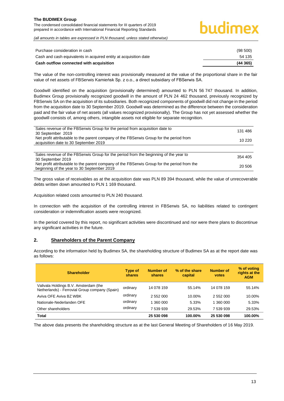### hudimex

*(all amounts in tables are expressed in PLN thousand, unless stated otherwise)*

| Purchase consideration in cash                                   | (98, 500) |
|------------------------------------------------------------------|-----------|
| Cash and cash equivalents in acquired entity at acquisition date | 54 135    |
| Cash outflow connected with acquisition                          | (44365)   |

The value of the non-controlling interest was provisionally measured at the value of the proportional share in the fair value of net assets of FBSerwis Kamieńsk Sp. z o.o., a direct subsidiary of FBSerwis SA.

Goodwill identified on the acquisition (provisionally determined) amounted to PLN 56 747 thousand. In addition, Budimex Group provisionally recognized goodwill in the amount of PLN 24 462 thousand, previously recognized by FBSerwis SA on the acquisition of its subsidiaries. Both recognized components of goodwill did not change in the period from the acquisition date to 30 September 2019. Goodwill was determined as the difference between the consideration paid and the fair value of net assets (all values recognized provisionally). The Group has not yet assessed whether the goodwill consists of, among others, intangible assets not eligible for separate recognition.

| Sales revenue of the FBSerwis Group for the period from acquisition date to<br>30 September 2019                                          | 131 486 |
|-------------------------------------------------------------------------------------------------------------------------------------------|---------|
| Net profit attributable to the parent company of the FBSerwis Group for the period from<br>acquisition date to 30 September 2019          | 10 220  |
|                                                                                                                                           |         |
| Sales revenue of the FBSerwis Group for the period from the beginning of the year to<br>30 September 2019                                 | 354 405 |
| Net profit attributable to the parent company of the FBSerwis Group for the period from the<br>beginning of the year to 30 September 2019 | 20 506  |

The gross value of receivables as at the acquisition date was PLN 89 394 thousand, while the value of unrecoverable debts written down amounted to PLN 1 169 thousand.

Acquisition related costs amounted to PLN 240 thousand.

In connection with the acquisition of the controlling interest in FBSerwis SA, no liabilities related to contingent consideration or indemnification assets were recognized.

In the period covered by this report, no significant activities were discontinued and nor were there plans to discontinue any significant activities in the future.

#### <span id="page-13-0"></span>**2. Shareholders of the Parent Company**

According to the information held by Budimex SA, the shareholding structure of Budimex SA as at the report date was as follows:

| <b>Shareholder</b>                                                                      | Type of<br>shares | <b>Number of</b><br>shares | % of the share<br>capital | Number of<br>votes | % of voting<br>rights at the<br><b>AGM</b> |
|-----------------------------------------------------------------------------------------|-------------------|----------------------------|---------------------------|--------------------|--------------------------------------------|
| Valivala Holdings B.V. Amsterdam (the<br>Netherlands) - Ferrovial Group company (Spain) | ordinary          | 14 078 159                 | 55.14%                    | 14 078 159         | 55.14%                                     |
| Aviva OFE Aviva BZ WBK                                                                  | ordinary          | 2 552 000                  | 10.00%                    | 2 552 000          | 10.00%                                     |
| Nationale-Nederlanden OFE                                                               | ordinary          | 1 360 000                  | 5.33%                     | 1 360 000          | 5.33%                                      |
| Other shareholders                                                                      | ordinary          | 7 539 939                  | 29.53%                    | 7 539 939          | 29.53%                                     |
| <b>Total</b>                                                                            |                   | 25 530 098                 | 100.00%                   | 25 530 098         | 100.00%                                    |

The above data presents the shareholding structure as at the last General Meeting of Shareholders of 16 May 2019.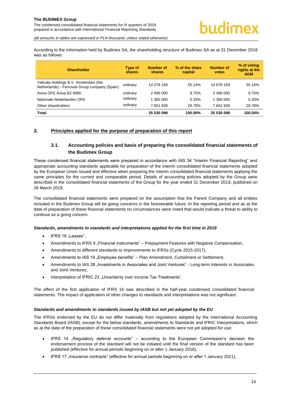*(all amounts in tables are expressed in PLN thousand, unless stated otherwise)*

According to the information held by Budimex SA, the shareholding structure of Budimex SA as at 31 December 2018 was as follows:

| <b>Shareholder</b>                                                                      | <b>Type of</b><br>shares | <b>Number of</b><br>shares | % of the share<br>capital | <b>Number of</b><br><b>votes</b> | % of voting<br>rights at the<br><b>AGM</b> |
|-----------------------------------------------------------------------------------------|--------------------------|----------------------------|---------------------------|----------------------------------|--------------------------------------------|
| Valivala Holdings B.V. Amsterdam (the<br>Netherlands) - Ferrovial Group company (Spain) | ordinary                 | 14 078 159                 | 55.14%                    | 14 078 159                       | 55.14%                                     |
| Aviva OFE Aviva BZ WBK                                                                  | ordinary                 | 2 490 000                  | 9.75%                     | 2 490 000                        | 9.75%                                      |
| Nationale-Nederlanden OFE                                                               | ordinary                 | 1 360 000                  | 5.33%                     | 1 360 000                        | 5.33%                                      |
| Other shareholders                                                                      | ordinary                 | 7 601 939                  | 29.78%                    | 7 601 939                        | 29.78%                                     |
| <b>Total</b>                                                                            |                          | 25 530 098                 | 100.00%                   | 25 530 098                       | 100.00%                                    |

#### <span id="page-14-1"></span><span id="page-14-0"></span>**3. Principles applied for the purpose of preparation of this report**

#### **3.1. Accounting policies and basis of preparing the consolidated financial statements of the Budimex Group**

These condensed financial statements were prepared in accordance with IAS 34 "Interim Financial Reporting" and appropriate accounting standards applicable for preparation of the interim consolidated financial statements adopted by the European Union issued and effective when preparing the interim consolidated financial statements applying the same principles for the current and comparable period. Details of accounting policies adopted by the Group were described in the consolidated financial statements of the Group for the year ended 31 December 2018, published on 26 March 2019.

The consolidated financial statements were prepared on the assumption that the Parent Company and all entities included in the Budimex Group will be going concerns in the foreseeable future. In the reporting period and as at the date of preparation of these financial statements no circumstances were noted that would indicate a threat to ability to continue as a going concern.

#### *Standards, amendments to standards and interpretations applied for the first time in 2019*

- IFRS 16 "Leases",
- Amendments to IFRS 9 . Financial instruments" Prepayment Features with Negative Compensation,
- Amendments to different standards to Improvements to IFRSs (Cycle 2015-2017),
- Amendments to IAS 19 "Employee benefits" Plan Amendment, Curtailment or Settlement,
- Amendments to IAS 28 "Investments in Associates and Joint Ventures" Long-term Interests in Associates and Joint Ventures,
- Interpretation of IFRIC 23 "Uncertainty over Income Tax Treatments".

The effect of the first application of IFRS 16 was described in the half-year condensed consolidated financial statements. The impact of application of other changes to standards and interpretations was not significant.

#### *Standards and amendments to standards issued by IASB but not yet adopted by the EU*

The IFRSs endorsed by the EU do not differ materially from regulations adopted by the International Accounting Standards Board (IASB), except for the below standards, amendments to Standards and IFRIC Interpretations, which as at the date of the preparation of these consolidated financial statements were not yet adopted for use:

- IFRS 14 "Regulatory deferral accounts" according to the European Commission's decision the endorsement process of the standard will not be initiated until the final version of the standard has been published (effective for annual periods beginning on or after 1 January 2016),
- IFRS 17 "Insurance contracts" (effective for annual periods beginning on or after 1 January 2021),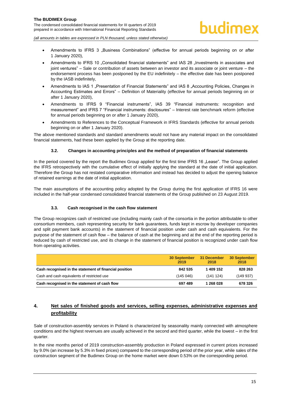- Amendments to IFRS 3 .Business Combinations" (effective for annual periods beginning on or after 1 January 2020),
- Amendments to IFRS 10 . Consolidated financial statements" and IAS 28 . Investments in associates and joint ventures" – Sale or contribution of assets between an investor and its associate or joint venture – the endorsement process has been postponed by the EU indefinitely – the effective date has been postponed by the IASB indefinitely,
- Amendments to IAS 1 . Presentation of Financial Statements" and IAS 8 . Accounting Policies, Changes in Accounting Estimates and Errors" – Definition of Materiality (effective for annual periods beginning on or after 1 January 2020),
- Amendments to IFRS 9 "Financial instruments", IAS 39 "Financial instruments: recognition and measurement" and IFRS 7 "Financial instruments: disclosures" – Interest rate benchmark reform (effective for annual periods beginning on or after 1 January 2020),
- Amendments to References to the Conceptual Framework in IFRS Standards (effective for annual periods beginning on or after 1 January 2020).

The above mentioned standards and standard amendments would not have any material impact on the consolidated financial statements, had these been applied by the Group at the reporting date.

#### **3.2. Changes in accounting principles and the method of preparation of financial statements**

<span id="page-15-0"></span>In the period covered by the report the Budimex Group applied for the first time IFRS 16 "Lease". The Group applied the IFRS retrospectively with the cumulative effect of initially applying the standard at the date of initial application. Therefore the Group has not restated comparative information and instead has decided to adjust the opening balance of retained earnings at the date of initial application.

The main assumptions of the accounting policy adopted by the Group during the first application of IFRS 16 were included in the half-year condensed consolidated financial statements of the Group published on 23 August 2019.

#### **3.3. Cash recognised in the cash flow statement**

<span id="page-15-1"></span>The Group recognizes cash of restricted use (including mainly cash of the consortia in the portion attributable to other consortium members, cash representing security for bank guarantees, funds kept in escrow by developer companies and split payment bank accounts) in the statement of financial position under cash and cash equivalents. For the purpose of the statement of cash flow – the balance of cash at the beginning and at the end of the reporting period is reduced by cash of restricted use, and its change in the statement of financial position is recognized under cash flow from operating activities.

|                                                        | <b>30 September</b><br>2019 | 31 December<br>2018 | 30 September<br>2018 |
|--------------------------------------------------------|-----------------------------|---------------------|----------------------|
| Cash recognised in the statement of financial position | 842 535                     | 1 409 152           | 828 263              |
| Cash and cash equivalents of restricted use            | (145046)                    | (141124)            | (149937)             |
| Cash recognised in the statement of cash flow          | 697 489                     | 1 268 028           | 678 326              |

#### <span id="page-15-2"></span>**4. Net sales of finished goods and services, selling expenses, administrative expenses and profitability**

Sale of construction-assembly services in Poland is characterized by seasonality mainly connected with atmosphere conditions and the highest revenues are usually achieved in the second and third quarter, while the lowest – in the first quarter.

In the nine months period of 2019 construction-assembly production in Poland expressed in current prices increased by 9.0% (an increase by 5.3% in fixed prices) compared to the corresponding period of the prior year, while sales of the construction segment of the Budimex Group on the home market were down 0.53% on the corresponding period.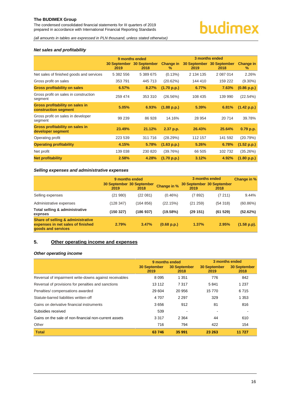The condensed consolidated financial statements for III quarters of 2019 prepared in accordance with International Financial Reporting Standards

*(all amounts in tables are expressed in PLN thousand, unless stated otherwise)*

#### *Net sales and profitability*

|                                                                | 9 months ended |                                   |                | 3 months ended              |                      |                          |
|----------------------------------------------------------------|----------------|-----------------------------------|----------------|-----------------------------|----------------------|--------------------------|
|                                                                | 2019           | 30 September 30 September<br>2018 | Change in<br>% | <b>30 September</b><br>2019 | 30 September<br>2018 | <b>Change in</b><br>$\%$ |
| Net sales of finished goods and services                       | 5 382 556      | 5 389 675                         | $(0.13\%)$     | 2 134 135                   | 2 087 014            | 2.26%                    |
| Gross profit on sales                                          | 353 791        | 445 713                           | (20.62%)       | 144 410                     | 159 222              | $(9.30\%)$               |
| <b>Gross profitability on sales</b>                            | 6.57%          | 8.27%                             | (1.70 p.p.)    | 6.77%                       | 7.63%                | (0.86 p.p.)              |
| Gross profit on sales in construction<br>segment               | 259 474        | 353 310                           | (26.56%)       | 108 435                     | 139 990              | (22.54%)                 |
| <b>Gross profitability on sales in</b><br>construction segment | 5.05%          | 6.93%                             | (1.88 p.p.)    | 5.39%                       | 6.81%                | (1.42 p.p.)              |
| Gross profit on sales in developer<br>segment                  | 99 239         | 86 928                            | 14.16%         | 28 954                      | 20714                | 39.78%                   |
| Gross profitability on sales in<br>developer segment           | 23.49%         | 21.12%                            | 2.37 p.p.      | 26.43%                      | 25.64%               | 0.79 p.p.                |
| Operating profit                                               | 223 539        | 311 716                           | (28.29%)       | 112 157                     | 141 592              | (20.79%)                 |
| <b>Operating profitability</b>                                 | 4.15%          | 5.78%                             | (1.63 p.p.)    | 5.26%                       | 6.78%                | (1.52 p.p.)              |
| Net profit                                                     | 139 038        | 230 820                           | (39.76%)       | 66 505                      | 102 732              | (35.26%)                 |
| <b>Net profitability</b>                                       | 2.58%          | 4.28%                             | (1.70 p.p.)    | 3.12%                       | 4.92%                | (1.80 p.p.)              |

#### *Selling expenses and administrative expenses*

|                                                                                                         | 2019      | 9 months ended<br>30 September 30 September<br>2018 | <b>Change in %</b> | 2019     | 3 months ended<br>30 September 30 September<br>2018 | Change in % |
|---------------------------------------------------------------------------------------------------------|-----------|-----------------------------------------------------|--------------------|----------|-----------------------------------------------------|-------------|
| Selling expenses                                                                                        | (21980)   | (22081)                                             | $(0.46\%)$         | (7892)   | (7 211)                                             | 9.44%       |
| Administrative expenses                                                                                 | (128 347) | (164 856)                                           | (22.15%)           | (21 259) | (54318)                                             | (60.86%)    |
| Total selling & administrative<br>expnses                                                               | (150 327) | (186937)                                            | (19.58%)           | (29151)  | (61529)                                             | (52.62%)    |
| <b>Share of selling &amp; administrative</b><br>expenses in net sales of finished<br>goods and services | 2.79%     | 3.47%                                               | (0.68 p.p.)        | 1.37%    | 2.95%                                               | (1.58 p.p). |

#### <span id="page-16-0"></span>**5. Other operating income and expenses**

#### *Other operating income*

|                                                        | 9 months ended              |                      | 3 months ended       |                             |  |
|--------------------------------------------------------|-----------------------------|----------------------|----------------------|-----------------------------|--|
|                                                        | <b>30 September</b><br>2019 | 30 September<br>2018 | 30 September<br>2019 | <b>30 September</b><br>2018 |  |
| Reversal of impairment write-downs against receivables | 8 0 9 5                     | 1 3 5 1              | 776                  | 842                         |  |
| Reversal of provisions for penalties and sanctions     | 13 112                      | 7 3 1 7              | 5841                 | 1 2 3 7                     |  |
| Penalties/ compensations awarded                       | 29 604                      | 20 956               | 15 770               | 6715                        |  |
| Statute-barred liabilities written-off                 | 4 70 7                      | 2 2 9 7              | 329                  | 1 3 5 3                     |  |
| Gains on derivative financial instruments              | 3656                        | 912                  | 81                   | 816                         |  |
| Subsidies received                                     | 539                         |                      |                      |                             |  |
| Gains on the sale of non-financial non-current assets  | 3 3 1 7                     | 2 3 6 4              | 44                   | 610                         |  |
| Other                                                  | 716                         | 794                  | 422                  | 154                         |  |
| <b>Total</b>                                           | 63746                       | 35 991               | 23 263               | 11 727                      |  |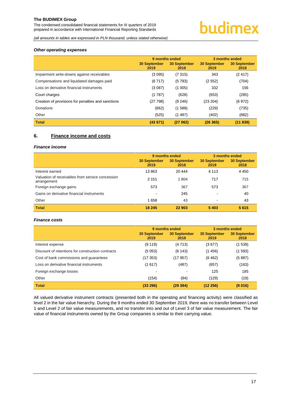The condensed consolidated financial statements for III quarters of 2019 prepared in accordance with International Financial Reporting Standards

## budimex

*(all amounts in tables are expressed in PLN thousand, unless stated otherwise)*

#### *Other operating expenses*

|                                                    | 9 months ended              |                             | 3 months ended              |                             |  |
|----------------------------------------------------|-----------------------------|-----------------------------|-----------------------------|-----------------------------|--|
|                                                    | <b>30 September</b><br>2019 | <b>30 September</b><br>2018 | <b>30 September</b><br>2019 | <b>30 September</b><br>2018 |  |
| Impairment write-downs against receivables         | (3095)                      | (7315)                      | 343                         | (2417)                      |  |
| Compensations and liquidated damages paid          | (6717)                      | (5793)                      | (2552)                      | (704)                       |  |
| Loss on derivative financial instruments           | (3087)                      | (1005)                      | 332                         | 156                         |  |
| Court charges                                      | (1787)                      | (628)                       | (653)                       | (285)                       |  |
| Creation of provisions for penalties and sanctions | (27798)                     | (9, 246)                    | (23 204)                    | (6972)                      |  |
| Donations                                          | (662)                       | (1588)                      | (229)                       | (735)                       |  |
| Other                                              | (525)                       | (1487)                      | (402)                       | (882)                       |  |
| <b>Total</b>                                       | (43671)                     | (27062)                     | (26365)                     | (11839)                     |  |

#### <span id="page-17-0"></span>**6. Finance income and costs**

#### *Finance income*

|                                                                 | 9 months ended              |                             | 3 months ended              |                             |
|-----------------------------------------------------------------|-----------------------------|-----------------------------|-----------------------------|-----------------------------|
|                                                                 | <b>30 September</b><br>2019 | <b>30 September</b><br>2018 | <b>30 September</b><br>2019 | <b>30 September</b><br>2018 |
| Interest earned                                                 | 13863                       | 20 444                      | 4 1 1 3                     | 4 4 5 0                     |
| Valuation of receivables from service concession<br>arrangement | 2 1 5 1                     | 1804                        | 717                         | 715                         |
| Foreign exchange gains                                          | 573                         | 367                         | 573                         | 367                         |
| Gains on derivative financial instruments                       |                             | 245                         | $\overline{\phantom{0}}$    | 40                          |
| Other                                                           | 1658                        | 43                          | $\overline{\phantom{a}}$    | 43                          |
| <b>Total</b>                                                    | 18 245                      | 22 903                      | 5403                        | 5615                        |

#### *Finance costs*

|                                                   | 9 months ended              |                             | 3 months ended              |                             |
|---------------------------------------------------|-----------------------------|-----------------------------|-----------------------------|-----------------------------|
|                                                   | <b>30 September</b><br>2019 | <b>30 September</b><br>2018 | <b>30 September</b><br>2019 | <b>30 September</b><br>2018 |
| Interest expense                                  | (9119)                      | (4713)                      | (3677)                      | (1539)                      |
| Discount of retentions for construction contracts | (5053)                      | (6143)                      | (1 456)                     | (1593)                      |
| Cost of bank commissions and guarantees           | (17 353)                    | (17 957)                    | (6462)                      | (5887)                      |
| Loss on derivative financial instruments          | (1617)                      | (487)                       | (657)                       | (163)                       |
| Foreign exchange losses                           |                             |                             | 125                         | 185                         |
| Other                                             | (154)                       | (94)                        | (129)                       | (19)                        |
| <b>Total</b>                                      | (33 296)                    | (29394)                     | (12 256)                    | (9 016)                     |

All valued derivative instrument contracts (presented both in the operating and financing activity) were classified as level 2 in the fair value hierarchy. During the 9 months ended 30 September 2019, there was no transfer between Level 1 and Level 2 of fair value measurements, and no transfer into and out of Level 3 of fair value measurement. The fair value of financial instruments owned by the Group companies is similar to their carrying value.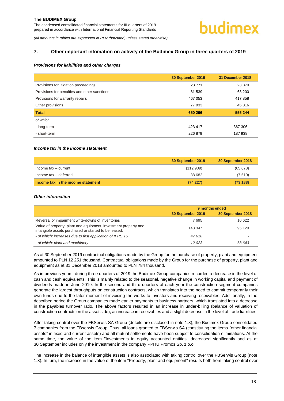*(all amounts in tables are expressed in PLN thousand, unless stated otherwise)*

#### <span id="page-18-0"></span>**7. Other important infomation on activity of the Budimex Group in three quarters of 2019**

#### *Provisions for liabilities and other charges*

|                                              | 30 September 2019 | 31 December 2018 |
|----------------------------------------------|-------------------|------------------|
| Provisions for litigation proceedings        | 23 7 7 1          | 23 870           |
| Provisions for penalties and other sanctions | 81 539            | 68 200           |
| Provisions for warranty repairs              | 467 053           | 417858           |
| Other provisions                             | 77 933            | 45 316           |
| <b>Total</b>                                 | 650 296           | 555 244          |
| of which:                                    |                   |                  |
| - long-term                                  | 423 417           | 367 306          |
| - short-term                                 | 226879            | 187938           |

#### *Income tax in the income statement*

|                                    | 30 September 2019 | 30 September 2018 |
|------------------------------------|-------------------|-------------------|
| Income tax - current               | (112909)          | (65678)           |
| Income tax - deferred              | 38 682            | (7510)            |
| Income tax in the income statement | (74227)           | (73188)           |

#### *Other information*

|                                                                                                                         | 9 months ended    |                   |  |
|-------------------------------------------------------------------------------------------------------------------------|-------------------|-------------------|--|
|                                                                                                                         | 30 September 2019 | 30 September 2018 |  |
| Reversal of impairment write-downs of inventories                                                                       | 7695              | 10 622            |  |
| Value of property, plant and equipment, investment property and<br>intangible assets purchased or started to be leased: | 148 347           | 95 129            |  |
| - of which: increases due to first application of IFRS 16                                                               | 47618             |                   |  |
| - of which: plant and machinery                                                                                         | 12 023            | 68 643            |  |

As at 30 September 2019 contractual obligations made by the Group for the purchase of property, plant and equipment amounted to PLN 12 251 thousand. Contractual obligations made by the Group for the purchase of property, plant and equipment as at 31 December 2018 amounted to PLN 784 thousand.

As in previous years, during three quarters of 2019 the Budimex Group companies recorded a decrease in the level of cash and cash equivalents. This is mainly related to the seasonal, negative change in working capital and payment of dividends made in June 2019. In the second and third quarters of each year the construction segment companies generate the largest throughputs on construction contracts, which translates into the need to commit temporarily their own funds due to the later moment of invoicing the works to investors and receiving receivables. Additionally, in the described period the Group companies made earlier payments to business partners, which translated into a decrease in the payables turnover ratio. The above factors resulted in an increase in under-billing (balance of valuation of construction contracts on the asset side), an increase in receivables and a slight decrease in the level of trade liabilities.

After taking control over the FBSerwis SA Group (details are disclosed in note 1.3), the Budimex Group consolidated 7 companies from the FBserwis Group. Thus, all loans granted to FBSerwis SA (constituting the items "other financial assets" in fixed and current assets) and all mutual settlements have been subject to consolidation eliminations. At the same time, the value of the item "Investments in equity accounted entities" decreased significantly and as at 30 September includes only the investment in the company PPHU Promos Sp. z o.o.

The increase in the balance of intangible assets is also associated with taking control over the FBSerwis Group (note 1.3). In turn, the increase in the value of the item "Property, plant and equipment" results both from taking control over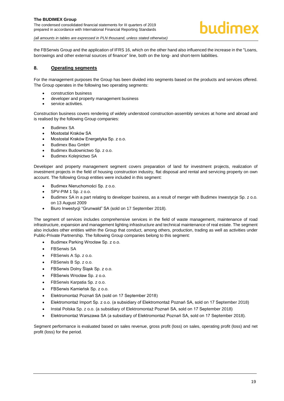

*(all amounts in tables are expressed in PLN thousand, unless stated otherwise)*

the FBSerwis Group and the application of IFRS 16, which on the other hand also influenced the increase in the "Loans, borrowings and other external sources of finance" line, both on the long- and short-term liabilities.

#### <span id="page-19-0"></span>**8. Operating segments**

For the management purposes the Group has been divided into segments based on the products and services offered. The Group operates in the following two operating segments:

- construction business
- developer and property management business
- service activities.

Construction business covers rendering of widely understood construction-assembly services at home and abroad and is realised by the following Group companies:

- Budimex SA
- Mostostal Kraków SA
- Mostostal Kraków Energetyka Sp. z o.o.
- Budimex Bau GmbH
- Budimex Budownictwo Sp. z o.o.
- Budimex Kolejnictwo SA

Developer and property management segment covers preparation of land for investment projects, realization of investment projects in the field of housing construction industry, flat disposal and rental and servicing property on own account. The following Group entities were included in this segment:

- Budimex Nieruchomości Sp. z o.o.
- SPV-PIM 1 Sp. z o.o.
- Budimex SA in a part relating to developer business, as a result of merger with Budimex Inwestycje Sp. z o.o. on 13 August 2009
- Biuro Inwestycji "Grunwald" SA (sold on 17 September 2018).

The segment of services includes comprehensive services in the field of waste management, maintenance of road infrastructure, expansion and management lighting infrastructure and technical maintenance of real estate. The segment also includes other entities within the Group that conduct, among others, production, trading as well as activities under Public-Private Partnership. The following Group companies belong to this segment:

- Budimex Parking Wrocław Sp. z o.o.
- FBSerwis SA
- FBSerwis A Sp. z o.o.
- FBSerwis B Sp. z o.o.
- FBSerwis Dolny Śląsk Sp. z o.o.
- FBSerwis Wrocław Sp. z o.o.
- FBSerwis Karpatia Sp. z o.o.
- FBSerwis Kamieńsk Sp. z o.o.
- Elektromontaż Poznań SA (sold on 17 September 2018)
- Elektromontaż Import Sp. z o.o. (a subsidiary of Elektromontaż Poznań SA, sold on 17 September 2018)
- Instal Polska Sp. z o.o. (a subsidiary of Elektromontaż Poznań SA, sold on 17 September 2018)
- Elektromontaż Warszawa SA (a subsidiary of Elektromontaż Poznań SA, sold on 17 September 2018).

Segment performance is evaluated based on sales revenue, gross profit (loss) on sales, operating profit (loss) and net profit (loss) for the period.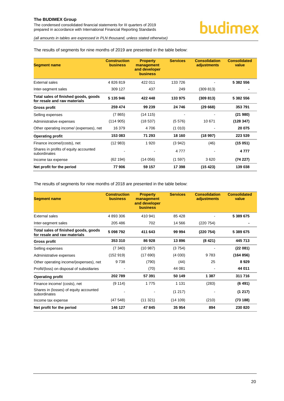The condensed consolidated financial statements for III quarters of 2019 prepared in accordance with International Financial Reporting Standards

*(all amounts in tables are expressed in PLN thousand, unless stated otherwise)*

#### The results of segments for nine months of 2019 are presented in the table below:

| <b>Segment name</b>                                                  | <b>Construction</b><br><b>business</b> | <b>Property</b><br>management<br>and developer<br><b>business</b> | <b>Services</b> | <b>Consolidation</b><br>adjustments | <b>Consolidated</b><br>value |
|----------------------------------------------------------------------|----------------------------------------|-------------------------------------------------------------------|-----------------|-------------------------------------|------------------------------|
| External sales                                                       | 4826819                                | 422 011                                                           | 133 726         |                                     | 5 382 556                    |
| Inter-segment sales                                                  | 309 127                                | 437                                                               | 249             | (309 813)                           |                              |
| Total sales of finished goods, goods<br>for resale and raw materials | 5 135 946                              | 422 448                                                           | 133 975         | (309 813)                           | 5 382 556                    |
| Gross profit                                                         | 259 474                                | 99 239                                                            | 24 746          | (29668)                             | 353791                       |
| Selling expenses                                                     | (7865)                                 | (14115)                                                           |                 |                                     | (21980)                      |
| Administrative expenses                                              | (114905)                               | (18537)                                                           | (5576)          | 10 671                              | (128347)                     |
| Other operating income/ (expenses), net                              | 16 379                                 | 4 706                                                             | (1010)          |                                     | 20 075                       |
| <b>Operating profit</b>                                              | 153 083                                | 71 293                                                            | 18 160          | (18997)                             | 223 539                      |
| Finance income/(costs), net                                          | (12983)                                | 1920                                                              | (3942)          | (46)                                | (15051)                      |
| Shares in profits of equity accounted<br>subordinates                |                                        |                                                                   | 4 7 7 7         |                                     | 4 7 7 7                      |
| Income tax expense                                                   | (62194)                                | (14056)                                                           | (1597)          | 3620                                | (74227)                      |
| Net profit for the period                                            | 77906                                  | 59 157                                                            | 17 398          | (15423)                             | 139 038                      |

The results of segments for nine months of 2018 are presented in the table below:

| <b>Segment name</b>                                                  | <b>Construction</b><br><b>business</b> | <b>Property</b><br>management<br>and developer<br><b>business</b> | <b>Services</b> | <b>Consolidation</b><br>adjustments | <b>Consolidated</b><br>value |
|----------------------------------------------------------------------|----------------------------------------|-------------------------------------------------------------------|-----------------|-------------------------------------|------------------------------|
| External sales                                                       | 4 893 306                              | 410 941                                                           | 85 4 28         |                                     | 5 389 675                    |
| Inter-segment sales                                                  | 205 486                                | 702                                                               | 14 5 66         | (220 754)                           |                              |
| Total sales of finished goods, goods<br>for resale and raw materials | 5 098 792                              | 411 643                                                           | 99 994          | (220 754)                           | 5 389 675                    |
| <b>Gross profit</b>                                                  | 353 310                                | 86 928                                                            | 13896           | (8421)                              | 445 713                      |
| Selling expenses                                                     | (7340)                                 | (10987)                                                           | (3754)          |                                     | (22081)                      |
| Administrative expenses                                              | (152919)                               | (17690)                                                           | (4030)          | 9783                                | (164 856)                    |
| Other operating income/(expenses), net                               | 9738                                   | (790)                                                             | (44)            | 25                                  | 8929                         |
| Profit/(loss) on disposal of subsidiaries                            |                                        | (70)                                                              | 44 081          |                                     | 44 011                       |
| <b>Operating profit</b>                                              | 202789                                 | 57 391                                                            | 50 149          | 1 3 8 7                             | 311 716                      |
| Finance income/ (costs), net                                         | (9114)                                 | 1 7 7 5                                                           | 1 1 3 1         | (283)                               | (6491)                       |
| Shares in (losses) of equity accounted<br>subordinates               |                                        |                                                                   | (1217)          |                                     | (1217)                       |
| Income tax expense                                                   | (47548)                                | (11321)                                                           | (14109)         | (210)                               | (73188)                      |
| Net profit for the period                                            | 146 127                                | 47 845                                                            | 35 954          | 894                                 | 230 820                      |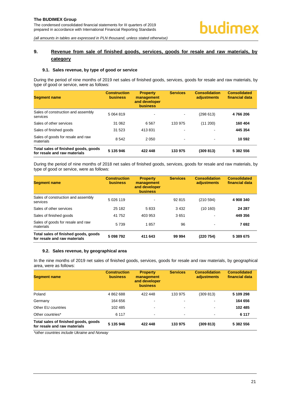#### <span id="page-21-0"></span>**9. Revenue from sale of finished goods, services, goods for resale and raw materials, by category**

#### <span id="page-21-1"></span>**9.1. Sales revenue, by type of good or service**

During the period of nine months of 2019 net sales of finished goods, services, goods for resale and raw materials, by type of good or service, were as follows:

| <b>Segment name</b>                                                  | <b>Construction</b><br><b>business</b> | <b>Property</b><br>management<br>and developer<br><b>business</b> | <b>Services</b>          | <b>Consolidation</b><br>adjustments | <b>Consolidated</b><br>financial data |
|----------------------------------------------------------------------|----------------------------------------|-------------------------------------------------------------------|--------------------------|-------------------------------------|---------------------------------------|
| Sales of construction and assembly<br>services                       | 5 0 64 8 19                            | $\blacksquare$                                                    | ۰                        | (298613)                            | 4766206                               |
| Sales of other services                                              | 31 062                                 | 6 5 6 7                                                           | 133 975                  | (11 200)                            | 160 404                               |
| Sales of finished goods                                              | 31 523                                 | 413831                                                            | $\blacksquare$           | $\blacksquare$                      | 445 354                               |
| Sales of goods for resale and raw<br>materials                       | 8542                                   | 2 0 5 0                                                           | $\overline{\phantom{a}}$ | $\blacksquare$                      | 10 592                                |
| Total sales of finished goods, goods<br>for resale and raw materials | 5 135 946                              | 422 448                                                           | 133 975                  | (309 813)                           | 5 382 556                             |

During the period of nine months of 2018 net sales of finished goods, services, goods for resale and raw materials, by type of good or service, were as follows:

| <b>Segment name</b>                                                  | <b>Construction</b><br><b>business</b> | <b>Property</b><br>management<br>and developer<br><b>business</b> | <b>Services</b> | <b>Consolidation</b><br>adjustments | <b>Consolidated</b><br>financial data |
|----------------------------------------------------------------------|----------------------------------------|-------------------------------------------------------------------|-----------------|-------------------------------------|---------------------------------------|
| Sales of construction and assembly<br>services                       | 5 026 119                              | $\blacksquare$                                                    | 92 815          | (210 594)                           | 4 908 340                             |
| Sales of other services                                              | 25 182                                 | 5833                                                              | 3 4 3 2         | (10160)                             | 24 287                                |
| Sales of finished goods                                              | 41 752                                 | 403 953                                                           | 3651            | $\overline{\phantom{a}}$            | 449 356                               |
| Sales of goods for resale and raw<br>materials                       | 5739                                   | 1857                                                              | 96              | $\overline{\phantom{a}}$            | 7692                                  |
| Total sales of finished goods, goods<br>for resale and raw materials | 5 098 792                              | 411 643                                                           | 99 994          | (220 754)                           | 5 389 675                             |

#### <span id="page-21-2"></span>**9.2. Sales revenue, by geographical area**

In the nine months of 2019 net sales of finished goods, services, goods for resale and raw materials, by geographical area, were as follows:

| <b>Segment name</b>                                                  | <b>Construction</b><br><b>business</b> | <b>Property</b><br>management<br>and developer<br><b>business</b> | <b>Services</b> | <b>Consolidation</b><br>adjustments | <b>Consolidated</b><br>financial data |
|----------------------------------------------------------------------|----------------------------------------|-------------------------------------------------------------------|-----------------|-------------------------------------|---------------------------------------|
| Poland                                                               | 4862688                                | 422 448                                                           | 133 975         | (309 813)                           | 5 109 298                             |
| Germany                                                              | 164 656                                | $\,$                                                              | $\,$            | $\overline{\phantom{a}}$            | 164 656                               |
| Other EU countries                                                   | 102 485                                | $\blacksquare$                                                    | $\blacksquare$  | $\,$                                | 102 485                               |
| Other countries*                                                     | 6 1 1 7                                | $\blacksquare$                                                    | $\blacksquare$  | $\sim$                              | 6 1 1 7                               |
| Total sales of finished goods, goods<br>for resale and raw materials | 5 135 946                              | 422 448                                                           | 133 975         | (309 813)                           | 5 382 556                             |

*\*other countries include Ukraine and Norway*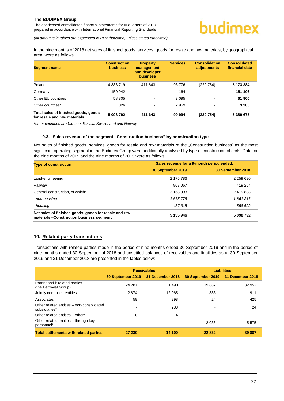*(all amounts in tables are expressed in PLN thousand, unless stated otherwise)*

In the nine months of 2018 net sales of finished goods, services, goods for resale and raw materials, by geographical area, were as follows:

| <b>Segment name</b>                                                  | <b>Construction</b><br><b>business</b> | <b>Property</b><br>management<br>and developer<br>business | <b>Services</b> | <b>Consolidation</b><br>adjustments | <b>Consolidated</b><br>financial data |
|----------------------------------------------------------------------|----------------------------------------|------------------------------------------------------------|-----------------|-------------------------------------|---------------------------------------|
| Poland                                                               | 4888719                                | 411 643                                                    | 93776           | (220 754)                           | 5 173 384                             |
| Germany                                                              | 150 942                                | $\overline{\phantom{a}}$                                   | 164             | $\overline{\phantom{a}}$            | 151 106                               |
| Other EU countries                                                   | 58 805                                 | $\overline{\phantom{a}}$                                   | 3 0 9 5         | $\overline{\phantom{a}}$            | 61 900                                |
| Other countries*                                                     | 326                                    | $\blacksquare$                                             | 2959            | $\blacksquare$                      | 3 2 8 5                               |
| Total sales of finished goods, goods<br>for resale and raw materials | 5 098 792                              | 411 643                                                    | 99 994          | (220 754)                           | 5 389 675                             |

*\*other countries are Ukraine, Russia, Switzerland and Norway*

#### **9.3. Sales revenue of the segment "Construction business" by construction type**

<span id="page-22-0"></span>Net sales of finished goods, services, goods for resale and raw materials of the "Construction business" as the most significant operating segment in the Budimex Group were additionally analysed by type of construction objects. Data for the nine months of 2019 and the nine months of 2018 were as follows:

| <b>Type of construction</b>                                                                       | Sales revenue for a 9-month period ended: |                   |  |
|---------------------------------------------------------------------------------------------------|-------------------------------------------|-------------------|--|
|                                                                                                   | 30 September 2019                         | 30 September 2018 |  |
| Land-engineering                                                                                  | 2 175 786                                 | 2 259 690         |  |
| Railway                                                                                           | 807 067                                   | 419 264           |  |
| General construction, of which:                                                                   | 2 153 093                                 | 2 419 838         |  |
| - non-housing                                                                                     | 1 665 778                                 | 1861216           |  |
| - housing                                                                                         | 487315                                    | 558 622           |  |
| Net sales of finished goods, goods for resale and raw<br>materials -Construction business segment | 5 135 946                                 | 5 098 792         |  |

#### <span id="page-22-1"></span>**10. Related party transactions**

Transactions with related parties made in the period of nine months ended 30 September 2019 and in the period of nine months ended 30 September of 2018 and unsettled balances of receivables and liabilities as at 30 September 2019 and 31 December 2018 are presented in the tables below:

|                                                            |        | <b>Receivables</b>                 | <b>Liabilities</b>                 |         |  |
|------------------------------------------------------------|--------|------------------------------------|------------------------------------|---------|--|
|                                                            |        | 30 September 2019 31 December 2018 | 30 September 2019 31 December 2018 |         |  |
| Parent and it related parties<br>(the Ferrovial Group)     | 24 287 | 1490                               | 19887                              | 32 952  |  |
| Jointly controlled entities                                | 2874   | 12 065                             | 883                                | 911     |  |
| Associates                                                 | 59     | 298                                | 24                                 | 425     |  |
| Other related entities - non-consolidated<br>subsidiaries* |        | 233                                |                                    | 24      |  |
| Other related entities - other*                            | 10     | 14                                 |                                    |         |  |
| Other related entities – through key<br>personnel*         |        |                                    | 2 0 3 8                            | 5 5 7 5 |  |
| <b>Total settlements with related parties</b>              | 27 230 | 14 100                             | 22 832                             | 39 887  |  |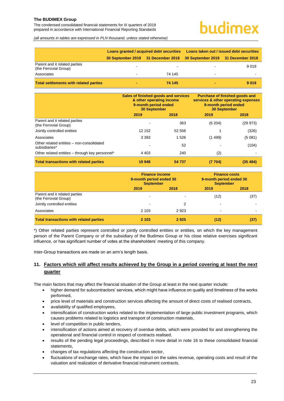The condensed consolidated financial statements for III quarters of 2019 prepared in accordance with International Financial Reporting Standards

### udimex

*(all amounts in tables are expressed in PLN thousand, unless stated otherwise)*

|                                                        | Loans granted / acquired debt securities | Loans taken out / issued debt securities                              |         |  |
|--------------------------------------------------------|------------------------------------------|-----------------------------------------------------------------------|---------|--|
|                                                        |                                          | 30 September 2019 31 December 2018 30 September 2019 31 December 2018 |         |  |
| Parent and it related parties<br>(the Ferrovial Group) |                                          |                                                                       | 9019    |  |
| Associates                                             | 74 145                                   | $\overline{\phantom{a}}$                                              |         |  |
| <b>Total settlements with related parties</b>          | 74 145                                   |                                                                       | 9 0 1 9 |  |

|                                                            | Sales of finished goods and services<br>& other operating income<br>9-month period ended<br><b>30 September</b><br>2019<br>2018 |        | Purchase of finished goods and<br>services & other operating expenses<br>9-month period ended<br><b>30 September</b> |           |
|------------------------------------------------------------|---------------------------------------------------------------------------------------------------------------------------------|--------|----------------------------------------------------------------------------------------------------------------------|-----------|
|                                                            |                                                                                                                                 |        | 2019                                                                                                                 | 2018      |
| Parent and it related parties<br>(the Ferrovial Group)     |                                                                                                                                 | 363    | (6204)                                                                                                               | (29973)   |
| Jointly controlled entities                                | 12 152                                                                                                                          | 52 556 |                                                                                                                      | (326)     |
| Associates                                                 | 3 3 9 3                                                                                                                         | 1526   | (1499)                                                                                                               | (5081)    |
| Other related entities - non-consolidated<br>subsidiaries* |                                                                                                                                 | 52     |                                                                                                                      | (104)     |
| Other related entities – through key personnel*            | 4 4 0 3                                                                                                                         | 240    | (2)                                                                                                                  |           |
| <b>Total transactions with related parties</b>             | 19 948                                                                                                                          | 54 737 | (7704)                                                                                                               | (35, 484) |

|                                                        | <b>Finance income</b><br>9-month period ended 30<br><b>September</b> |      | <b>Finance costs</b><br>9-month period ended 30<br><b>September</b> |      |
|--------------------------------------------------------|----------------------------------------------------------------------|------|---------------------------------------------------------------------|------|
|                                                        | 2019                                                                 | 2018 | 2019                                                                | 2018 |
| Parent and it related parties<br>(the Ferrovial Group) |                                                                      |      | (12)                                                                | (37) |
| Jointly controlled entities                            | -                                                                    | 2    | $\,$                                                                |      |
| Associates                                             | 2 1 0 3                                                              | 2923 | $\,$                                                                |      |
| <b>Total transactions with related parties</b>         | 2 103                                                                | 2925 | (12)                                                                | (37) |

\*) Other related parties represent controlled or jointly controlled entities or entities, on which the key management person of the Parent Company or of the subsidiary of the Budimex Group or his close relative exercises significant influence, or has significant number of votes at the shareholders' meeting of this company.

Inter-Group transactions are made on an arm's length basis.

#### <span id="page-23-0"></span>**11. Factors which will affect results achieved by the Group in a period covering at least the next quarter**

The main factors that may affect the financial situation of the Group at least in the next quarter include:

- higher demand for subcontractors' services, which might have influence on quality and timeliness of the works performed,
- price level of materials and construction services affecting the amount of direct costs of realised contracts,
- availability of qualified employees,
- intensification of construction works related to the implementation of large public investment programs, which causes problems related to logistics and transport of construction materials,
- level of competition in public tenders,
- intensification of actions aimed at recovery of overdue debts, which were provided for and strengthening the operational and financial control in respect of contracts realised,
- results of the pending legal proceedings, described in more detail in note 16 to these consolidated financial statements,
- changes of tax regulations affecting the construction sector,
- fluctuations of exchange rates, which have the impact on the sales revenue, operating costs and result of the valuation and realization of derivative financial instrument contracts.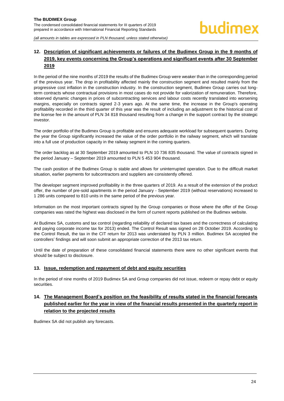#### <span id="page-24-0"></span>**12. Description of significant achievements or failures of the Budimex Group in the 9 months of 2019, key events concerning the Group's operations and significant events after 30 September 2019**

In the period of the nine months of 2019 the results of the Budimex Group were weaker than in the corresponding period of the previous year. The drop in profitability affected mainly the construction segment and resulted mainly from the progressive cost inflation in the construction industry. In the construction segment, Budimex Group carries out longterm contracts whose contractual provisions in most cases do not provide for valorization of remuneration. Therefore, observed dynamic changes in prices of subcontracting services and labour costs recently translated into worsening margins, especially on contracts signed 2-3 years ago. At the same time, the increase in the Group's operating profitability recorded in the third quarter of this year was the result of including an adjustment to the historical cost of the license fee in the amount of PLN 34 818 thousand resulting from a change in the support contract by the strategic investor.

The order portfolio of the Budimex Group is profitable and ensures adequate workload for subsequent quarters. During the year the Group significantly increased the value of the order portfolio in the railway segment, which will translate into a full use of production capacity in the railway segment in the coming quarters.

The order backlog as at 30 September 2019 amounted to PLN 10 736 835 thousand. The value of contracts signed in the period January – September 2019 amounted to PLN 5 453 904 thousand.

The cash position of the Budimex Group is stable and allows for uninterrupted operation. Due to the difficult market situation, earlier payments for subcontractors and suppliers are consistently offered.

The developer segment improved profitability in the three quarters of 2019. As a result of the extension of the product offer, the number of pre-sold apartments in the period January - September 2019 (without reservations) increased to 1 286 units compared to 810 units in the same period of the previous year.

Information on the most important contracts signed by the Group companies or those where the offer of the Group companies was rated the highest was disclosed in the form of current reports published on the Budimex website.

At Budimex SA, customs and tax control (regarding reliability of declared tax bases and the correctness of calculating and paying corporate income tax for 2013) ended. The Control Result was signed on 28 October 2019. According to the Control Result, the tax in the CIT return for 2013 was understated by PLN 3 million. Budimex SA accepted the controllers' findings and will soon submit an appropriate correction of the 2013 tax return.

Until the date of preparation of these consolidated financial statements there were no other significant events that should be subject to disclosure.

#### <span id="page-24-1"></span>**13. Issue, redemption and repayment of debt and equity securities**

In the period of nine months of 2019 Budimex SA and Group companies did not issue, redeem or repay debt or equity securities.

#### <span id="page-24-2"></span>**14. The Management Board's position on the feasibility of results stated in the financial forecasts published earlier for the year in view of the financial results presented in the quarterly report in relation to the projected results**

Budimex SA did not publish any forecasts.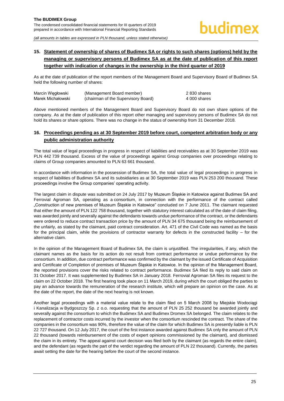#### <span id="page-25-0"></span>**15. Statement of ownership of shares of Budimex SA or rights to such shares (options) held by the managing or supervisory persons of Budimex SA as at the date of publication of this report together with indication of changes in the ownership in the third quarter of 2019**

As at the date of publication of the report members of the Management Board and Supervisory Board of Budimex SA held the following number of shares:

| Marcin Wegłowski  | (Management Board member)           | 2 830 shares |
|-------------------|-------------------------------------|--------------|
| Marek Michałowski | (chairman of the Supervisory Board) | 4 000 shares |

Above mentioned members of the Management Board and Supervisory Board do not own share options of the company. As at the date of publication of this report other managing and supervisory persons of Budimex SA do not hold its shares or share options. There was no change in the status of ownership from 31 December 2018.

#### <span id="page-25-1"></span>**16. Proceedings pending as at 30 September 2019 before court, competent arbitration body or any public administration authority**

The total value of legal proceedings in progress in respect of liabilities and receivables as at 30 September 2019 was PLN 442 739 thousand. Excess of the value of proceedings against Group companies over proceedings relating to claims of Group companies amounted to PLN 63 661 thousand.

In accordance with information in the possession of Budimex SA, the total value of legal proceedings in progress in respect of liabilities of Budimex SA and its subsidiaries as at 30 September 2019 was PLN 253 200 thousand. These proceedings involve the Group companies' operating activity.

The largest claim in dispute was submitted on 24 July 2017 by Muzeum Śląskie in Katowice against Budimex SA and Ferrovial Agroman SA, operating as a consortium, in connection with the performance of the contract called "Construction of new premises of Muzeum Śląskie in Katowice" concluded on 7 June 2011. The claimant requested that either the amount of PLN 122 758 thousand, together with statutory interest calculated as of the date of claim filing, was awarded jointly and severally against the defendants towards undue performance of the contract, or the defendants were ordered to reduce contract transaction price by the amount of PLN 34 675 thousand being the reimbursement of the unfairly, as stated by the claimant, paid contract consideration. Art. 471 of the Civil Code was named as the basis for the principal claim, while the provisions of contractor warranty for defects in the constructed facility – for the alternative claim.

In the opinion of the Management Board of Budimex SA, the claim is unjustified. The irregularities, if any, which the claimant names as the basis for its action do not result from contract performance or undue performance by the consortium. In addition, due contract performance was confirmed by the claimant by the issued Certificate of Acquisition and Certificate of Completion of premises of Muzeum Śląskie in Katowice. In the opinion of the Management Board, the reported provisions cover the risks related to contract performance. Budimex SA filed its reply to said claim on 31 October 2017. It was supplemented by Budimex SA in January 2018. Ferrovial Agroman SA files its request to the claim on 22 October 2018. The first hearing took place on 11 March 2019, during which the court obliged the parties to pay an advance towards the remuneration of the research institute, which will prepare an opinion on the case. As at the date of the report, the date of the next hearing is not known.

Another legal proceedings with a material value relate to the claim filed on 5 March 2008 by Miejskie Wodociągi i Kanalizacja w Bydgoszczy Sp. z o.o. requesting that the amount of PLN 25 252 thousand be awarded jointly and severally against the consortium to which the Budimex SA and Budimex Dromex SA belonged. The claim relates to the replacement of contractor costs incurred by the investor when the consortium rescinded the contract. The share of the companies in the consortium was 90%, therefore the value of the claim for which Budimex SA is presently liable is PLN 22 727 thousand. On 12 July 2017, the court of the first instance awarded against Budimex SA only the amount of PLN 22 thousand (towards reimbursement of the costs of expert opinions commissioned by the claimant), and dismissed the claim in its entirety. The appeal against court decision was filed both by the claimant (as regards the entire claim), and the defendant (as regards the part of the verdict regarding the amount of PLN 22 thousand). Currently, the parties await setting the date for the hearing before the court of the second instance.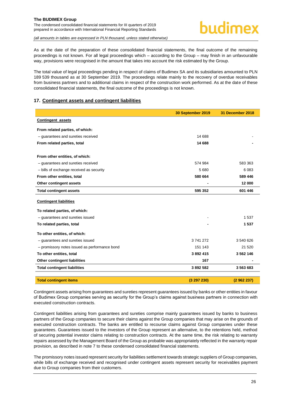As at the date of the preparation of these consolidated financial statements, the final outcome of the remaining proceedings is not known. For all legal proceedings which – according to the Group – may finish in an unfavourable way, provisions were recognised in the amount that takes into account the risk estimated by the Group.

The total value of legal proceedings pending in respect of claims of Budimex SA and its subsidiaries amounted to PLN 189 539 thousand as at 30 September 2019. The proceedings relate mainly to the recovery of overdue receivables from business partners and to additional claims in respect of the construction work performed. As at the date of these consolidated financial statements, the final outcome of the proceedings is not known.

#### <span id="page-26-0"></span>**17. Contingent assets and contingent liabilities**

|                                               | 30 September 2019 | 31 December 2018 |
|-----------------------------------------------|-------------------|------------------|
| <b>Contingent assets</b>                      |                   |                  |
| From related parties, of which:               |                   |                  |
| - guarantees and sureties received            | 14 688            |                  |
| From related parties, total                   | 14 688            |                  |
| From other entities, of which:                |                   |                  |
| - guarantees and sureties received            | 574 984           | 583 363          |
| - bills of exchange received as security      | 5 6 8 0           | 6 0 8 3          |
| From other entities, total                    | 580 664           | 589 446          |
| Other contingent assets                       |                   | 12 000           |
| <b>Total contingent assets</b>                | 595 352           | 601 446          |
| <b>Contingent liabilities</b>                 |                   |                  |
| To related parties, of which:                 |                   |                  |
| - guarantees and sureties issued              |                   | 1 5 3 7          |
| To related parties, total                     |                   | 1537             |
| To other entities, of which:                  |                   |                  |
| - quarantees and sureties issued              | 3741272           | 3 540 626        |
| - promissory notes issued as performance bond | 151 143           | 21 5 20          |
| To other entities, total                      | 3 892 415         | 3 562 146        |
| <b>Other contingent liabilities</b>           | 167               |                  |
| <b>Total contingent liabilities</b>           | 3892582           | 3 563 683        |
|                                               |                   |                  |
| <b>Total contingent items</b>                 | (3297230)         | (2962237)        |

Contingent assets arising from guarantees and sureties represent guarantees issued by banks or other entities in favour of Budimex Group companies serving as security for the Group's claims against business partners in connection with executed construction contracts.

Contingent liabilities arising from guarantees and sureties comprise mainly guarantees issued by banks to business partners of the Group companies to secure their claims against the Group companies that may arise on the grounds of executed construction contracts. The banks are entitled to recourse claims against Group companies under these guarantees. Guarantees issued to the investors of the Group represent an alternative, to the retentions held, method of securing potential investor claims relating to construction contracts. At the same time, the risk relating to warranty repairs assessed by the Management Board of the Group as probable was appropriately reflected in the warranty repair provision, as described in note 7 to these condensed consolidated financial statements.

The promissory notes issued represent security for liabilities settlement towards strategic suppliers of Group companies, while bills of exchange received and recognised under contingent assets represent security for receivables payment due to Group companies from their customers.